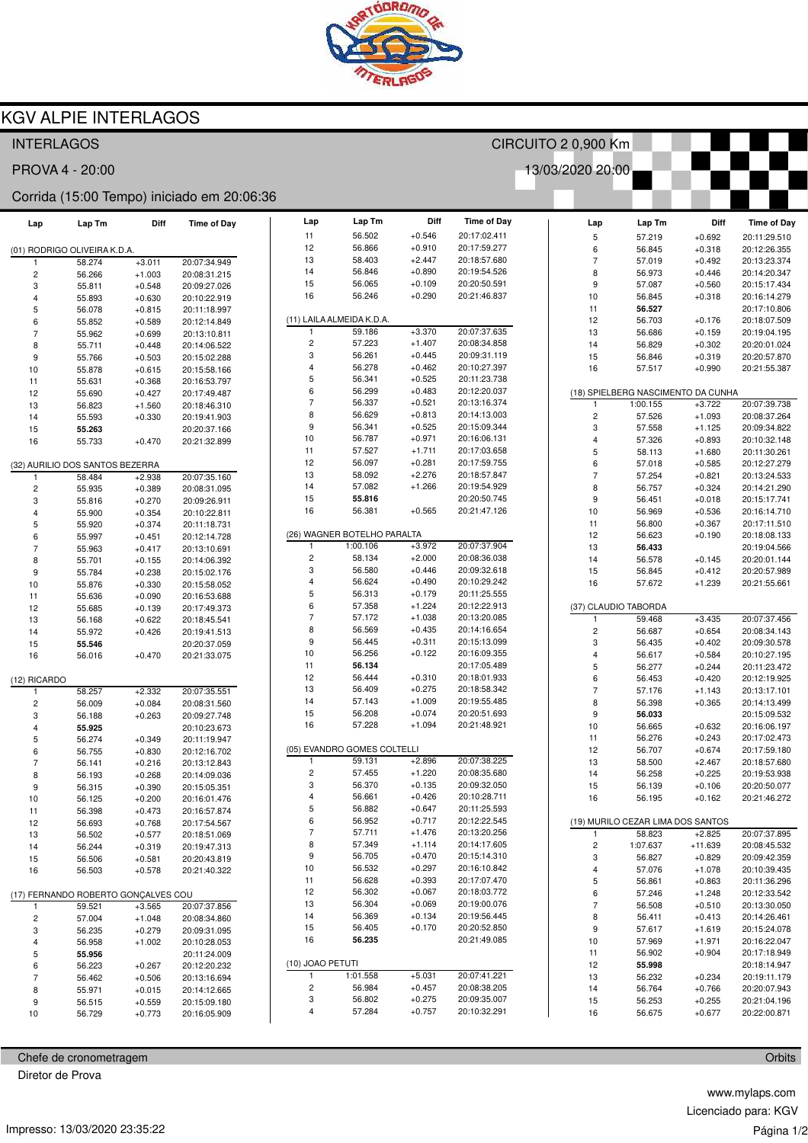

## KGV ALPIE INTERLAGOS

| <b>INTERLAGOS</b>                          |                                 |                      |                              | CIRCUITO 2 0,900 Km |                             |                      |                              |   |                          |                                    |                      |                              |
|--------------------------------------------|---------------------------------|----------------------|------------------------------|---------------------|-----------------------------|----------------------|------------------------------|---|--------------------------|------------------------------------|----------------------|------------------------------|
| 13/03/2020 20:00<br>PROVA 4 - 20:00        |                                 |                      |                              |                     |                             |                      |                              |   |                          |                                    |                      |                              |
| Corrida (15:00 Tempo) iniciado em 20:06:36 |                                 |                      |                              |                     |                             |                      |                              |   |                          |                                    |                      |                              |
| Lap                                        | Lap Tm                          | Diff                 | <b>Time of Day</b>           | Lap                 | Lap Tm                      | Diff                 | <b>Time of Day</b>           |   | Lap                      | Lap Tm                             | Diff                 | <b>Time of Day</b>           |
|                                            |                                 |                      |                              | 11                  | 56.502                      | $+0.546$             | 20:17:02.411                 |   | 5                        | 57.219                             | $+0.692$             | 20:11:29.510                 |
|                                            | (01) RODRIGO OLIVEIRA K.D.A.    |                      |                              | 12                  | 56.866                      | $+0.910$             | 20:17:59.277                 |   | 6                        | 56.845                             | $+0.318$             | 20:12:26.355                 |
|                                            | 58.274                          | $+3.011$             | 20:07:34.949                 | 13<br>14            | 58.403                      | $+2.447$<br>$+0.890$ | 20:18:57.680                 |   | $\overline{7}$           | 57.019                             | $+0.492$             | 20:13:23.374                 |
| $\overline{c}$                             | 56.266                          | $+1.003$             | 20:08:31.215                 | 15                  | 56.846<br>56.065            | $+0.109$             | 20:19:54.526<br>20:20:50.591 |   | 8                        | 56.973                             | $+0.446$             | 20:14:20.347                 |
| 3                                          | 55.811                          | $+0.548$             | 20:09:27.026                 | 16                  | 56.246                      | $+0.290$             | 20:21:46.837                 |   | 9<br>10                  | 57.087                             | $+0.560$             | 20:15:17.434                 |
| $\overline{4}$<br>5                        | 55.893                          | $+0.630$             | 20:10:22.919                 |                     |                             |                      |                              |   | 11                       | 56.845<br>56.527                   | $+0.318$             | 20:16:14.279<br>20:17:10.806 |
| 6                                          | 56.078<br>55.852                | $+0.815$<br>$+0.589$ | 20:11:18.997<br>20:12:14.849 |                     | (11) LAILA ALMEIDA K.D.A.   |                      |                              |   | 12                       | 56.703                             | $+0.176$             | 20:18:07.509                 |
| $\overline{7}$                             | 55.962                          | $+0.699$             | 20:13:10.811                 | -1                  | 59.186                      | $+3.370$             | 20:07:37.635                 |   | 13                       | 56.686                             | $+0.159$             | 20:19:04.195                 |
| 8                                          | 55.711                          | $+0.448$             | 20:14:06.522                 | $\overline{c}$      | 57.223                      | $+1.407$             | 20:08:34.858                 |   | 14                       | 56.829                             | $+0.302$             | 20:20:01.024                 |
| 9                                          | 55.766                          | $+0.503$             | 20:15:02.288                 | 3                   | 56.261                      | $+0.445$             | 20:09:31.119                 |   | 15                       | 56.846                             | $+0.319$             | 20:20:57.870                 |
| 10                                         | 55.878                          | $+0.615$             | 20:15:58.166                 | 4                   | 56.278                      | $+0.462$             | 20:10:27.397                 |   | 16                       | 57.517                             | $+0.990$             | 20:21:55.387                 |
| 11                                         | 55.631                          | $+0.368$             | 20:16:53.797                 | 5                   | 56.341                      | $+0.525$             | 20:11:23.738                 |   |                          |                                    |                      |                              |
| 12                                         | 55.690                          | $+0.427$             | 20:17:49.487                 | 6                   | 56.299                      | $+0.483$             | 20:12:20.037                 |   |                          | (18) SPIELBERG NASCIMENTO DA CUNHA |                      |                              |
| 13                                         | 56.823                          | $+1.560$             | 20:18:46.310                 | $\overline{7}$      | 56.337                      | $+0.521$             | 20:13:16.374                 |   | 1                        | 1:00.155                           | $+3.722$             | 20:07:39.738                 |
| 14                                         | 55.593                          | $+0.330$             | 20:19:41.903                 | 8                   | 56.629                      | $+0.813$             | 20:14:13.003                 |   | 2                        | 57.526                             | $+1.093$             | 20:08:37.264                 |
| 15                                         | 55.263                          |                      | 20:20:37.166                 | 9                   | 56.341                      | $+0.525$             | 20:15:09.344                 |   | 3                        | 57.558                             | $+1.125$             | 20:09:34.822                 |
| 16                                         | 55.733                          | $+0.470$             | 20:21:32.899                 | 10                  | 56.787                      | $+0.971$             | 20:16:06.131                 |   | 4                        | 57.326                             | $+0.893$             | 20:10:32.148                 |
|                                            |                                 |                      |                              | 11                  | 57.527                      | $+1.711$             | 20:17:03.658                 |   | 5                        | 58.113                             | $+1.680$             | 20:11:30.261                 |
|                                            | (32) AURILIO DOS SANTOS BEZERRA |                      |                              | 12                  | 56.097                      | $+0.281$             | 20:17:59.755                 |   | 6                        | 57.018                             | $+0.585$             | 20:12:27.279                 |
| 1                                          | 58.484                          | $+2.938$             | 20:07:35.160                 | 13                  | 58.092                      | $+2.276$             | 20:18:57.847                 |   | $\overline{7}$           | 57.254                             | $+0.821$             | 20:13:24.533                 |
| $\overline{c}$                             | 55.935                          | $+0.389$             | 20:08:31.095                 | 14                  | 57.082                      | $+1.266$             | 20:19:54.929<br>20:20:50.745 |   | 8                        | 56.757                             | $+0.324$             | 20:14:21.290                 |
| 3                                          | 55.816                          | $+0.270$             | 20:09:26.911                 | 15<br>16            | 55.816<br>56.381            | $+0.565$             | 20:21:47.126                 |   | 9                        | 56.451                             | $+0.018$             | 20:15:17.741                 |
| $\overline{4}$                             | 55.900                          | $+0.354$             | 20:10:22.811                 |                     |                             |                      |                              |   | 10<br>11                 | 56.969                             | $+0.536$             | 20:16:14.710                 |
| 5<br>6                                     | 55.920                          | $+0.374$             | 20:11:18.731                 |                     | (26) WAGNER BOTELHO PARALTA |                      |                              |   | 12                       | 56.800<br>56.623                   | $+0.367$<br>$+0.190$ | 20:17:11.510<br>20:18:08.133 |
| $\overline{7}$                             | 55.997<br>55.963                | $+0.451$<br>$+0.417$ | 20:12:14.728<br>20:13:10.691 | $\mathbf{1}$        | 1:00.106                    | $+3.972$             | 20:07:37.904                 |   | 13                       | 56.433                             |                      | 20:19:04.566                 |
| 8                                          | 55.701                          | $+0.155$             | 20:14:06.392                 | $\overline{c}$      | 58.134                      | $+2.000$             | 20:08:36.038                 |   | 14                       | 56.578                             | $+0.145$             | 20:20:01.144                 |
| 9                                          | 55.784                          | $+0.238$             | 20:15:02.176                 | 3                   | 56.580                      | $+0.446$             | 20:09:32.618                 |   | 15                       | 56.845                             | $+0.412$             | 20:20:57.989                 |
| 10                                         | 55.876                          | $+0.330$             | 20:15:58.052                 | $\overline{4}$      | 56.624                      | $+0.490$             | 20:10:29.242                 |   | 16                       | 57.672                             | $+1.239$             | 20:21:55.661                 |
| 11                                         | 55.636                          | $+0.090$             | 20:16:53.688                 | 5                   | 56.313                      | $+0.179$             | 20:11:25.555                 |   |                          |                                    |                      |                              |
| 12                                         | 55.685                          | $+0.139$             | 20:17:49.373                 | 6                   | 57.358                      | $+1.224$             | 20:12:22.913                 |   | (37) CLAUDIO TABORDA     |                                    |                      |                              |
| 13                                         | 56.168                          | $+0.622$             | 20:18:45.541                 | $\overline{7}$      | 57.172                      | $+1.038$             | 20:13:20.085                 |   | 1                        | 59.468                             | $+3.435$             | 20:07:37.456                 |
| 14                                         | 55.972                          | $+0.426$             | 20:19:41.513                 | 8                   | 56.569                      | $+0.435$             | 20:14:16.654                 |   | $\overline{\mathbf{c}}$  | 56.687                             | $+0.654$             | 20:08:34.143                 |
| 15                                         | 55.546                          |                      | 20:20:37.059                 | 9                   | 56.445                      | $+0.311$             | 20:15:13.099                 |   | 3                        | 56.435                             | $+0.402$             | 20:09:30.578                 |
| 16                                         | 56.016                          | $+0.470$             | 20:21:33.075                 | 10                  | 56.256                      | $+0.122$             | 20:16:09.355                 |   | 4                        | 56.617                             | $+0.584$             | 20:10:27.195                 |
|                                            |                                 |                      |                              | 11                  | 56.134                      |                      | 20:17:05.489                 |   | 5                        | 56.277                             | $+0.244$             | 20:11:23.472                 |
| (12) RICARDO                               |                                 |                      |                              | 12                  | 56.444                      | $+0.310$             | 20:18:01.933                 |   | 6                        | 56.453                             | $+0.420$             | 20:12:19.925                 |
| 1                                          | 58.257                          | $+2.332$             | 20:07:35.551                 | 13                  | 56.409                      | $+0.275$             | 20:18:58.342                 |   | $\overline{\mathcal{I}}$ | 57.176                             | $+1.143$             | 20:13:17.101                 |
| $\overline{c}$                             | 56.009                          | $+0.084$             | 20:08:31.560                 | 14                  | 57.143                      | $+1.009$             | 20:19:55.485                 |   | 8                        | 56.398                             | $+0.365$             | 20:14:13.499                 |
| 3                                          | 56.188                          | $+0.263$             | 20:09:27.748                 | 15                  | 56.208                      | $+0.074$             | 20:20:51.693                 |   | 9                        | 56.033                             |                      | 20:15:09.532                 |
| $\overline{4}$                             | 55.925                          |                      | 20:10:23.673                 | 16                  | 57.228                      | $+1.094$             | 20:21:48.921                 |   | 10                       | 56.665                             | $+0.632$             | 20:16:06.197                 |
| 5                                          | 56.274                          | $+0.349$             | 20:11:19.947                 |                     | (05) EVANDRO GOMES COLTELLI |                      |                              |   | 11                       | 56.276                             | $+0.243$             | 20:17:02.473                 |
| 6                                          | 56.755                          | $+0.830$             | 20:12:16.702                 | 1                   | 59.131                      | $+2.896$             | 20:07:38.225                 |   | 12<br>13                 | 56.707<br>58.500                   | $+0.674$<br>$+2.467$ | 20:17:59.180<br>20:18:57.680 |
| $\overline{7}$                             | 56.141                          | $+0.216$             | 20:13:12.843<br>20:14:09.036 | $\sqrt{2}$          | 57.455                      | $+1.220$             | 20:08:35.680                 |   | 14                       | 56.258                             | $+0.225$             | 20:19:53.938                 |
| 8<br>9                                     | 56.193<br>56.315                | $+0.268$<br>$+0.390$ | 20:15:05.351                 | 3                   | 56.370                      | $+0.135$             | 20:09:32.050                 |   | 15                       | 56.139                             | $+0.106$             | 20:20:50.077                 |
| 10                                         | 56.125                          | $+0.200$             | 20:16:01.476                 | 4                   | 56.661                      | $+0.426$             | 20:10:28.711                 |   | 16                       | 56.195                             | $+0.162$             | 20:21:46.272                 |
| 11                                         | 56.398                          | $+0.473$             | 20:16:57.874                 | 5                   | 56.882                      | $+0.647$             | 20:11:25.593                 |   |                          |                                    |                      |                              |
| 12                                         | 56.693                          | $+0.768$             | 20:17:54.567                 | 6                   | 56.952                      | $+0.717$             | 20:12:22.545                 |   |                          | (19) MURILO CEZAR LIMA DOS SANTOS  |                      |                              |
| 13                                         | 56.502                          | $+0.577$             | 20:18:51.069                 | $\overline{7}$      | 57.711                      | $+1.476$             | 20:13:20.256                 |   | $\mathbf{1}$             | 58.823                             | $+2.825$             | 20:07:37.895                 |
| 14                                         | 56.244                          | $+0.319$             | 20:19:47.313                 | 8                   | 57.349                      | $+1.114$             | 20:14:17.605                 |   | $\overline{\mathbf{c}}$  | 1:07.637                           | $+11.639$            | 20:08:45.532                 |
| 15                                         | 56.506                          | $+0.581$             | 20:20:43.819                 | 9                   | 56.705                      | $+0.470$             | 20:15:14.310                 |   | 3                        | 56.827                             | $+0.829$             | 20:09:42.359                 |
| 16                                         | 56.503                          | $+0.578$             | 20:21:40.322                 | 10                  | 56.532                      | $+0.297$             | 20:16:10.842                 |   | 4                        | 57.076                             | $+1.078$             | 20:10:39.435                 |
|                                            |                                 |                      |                              | 11                  | 56.628                      | $+0.393$             | 20:17:07.470                 |   | 5                        | 56.861                             | $+0.863$             | 20:11:36.296                 |
| (17) FERNANDO ROBERTO GONÇALVES COU        |                                 |                      | 12                           | 56.302              | $+0.067$                    | 20:18:03.772         |                              | 6 | 57.246                   | $+1.248$                           | 20:12:33.542         |                              |
| 1                                          | 59.521                          | $+3.565$             | 20:07:37.856                 | 13                  | 56.304                      | $+0.069$             | 20:19:00.076                 |   | 7                        | 56.508                             | $+0.510$             | 20:13:30.050                 |
| $\overline{\mathbf{c}}$                    | 57.004                          | $+1.048$             | 20:08:34.860                 | 14                  | 56.369                      | $+0.134$             | 20:19:56.445                 |   | 8                        | 56.411                             | $+0.413$             | 20:14:26.461                 |
| 3                                          | 56.235                          | $+0.279$             | 20:09:31.095                 | 15                  | 56.405                      | $+0.170$             | 20:20:52.850                 |   | 9                        | 57.617                             | $+1.619$             | 20:15:24.078                 |
| $\overline{4}$                             | 56.958                          | $+1.002$             | 20:10:28.053                 | 16                  | 56.235                      |                      | 20:21:49.085                 |   | 10                       | 57.969                             | $+1.971$             | 20:16:22.047                 |
| 5                                          | 55.956                          |                      | 20:11:24.009                 |                     |                             |                      |                              |   | 11                       | 56.902                             | $+0.904$             | 20:17:18.949                 |
| 6                                          | 56.223                          | $+0.267$             | 20:12:20.232                 | (10) JOAO PETUTI    |                             |                      |                              |   | 12                       | 55.998                             |                      | 20:18:14.947                 |
| $\overline{7}$                             | 56.462                          | $+0.506$             | 20:13:16.694                 |                     | 1:01.558                    | $+5.031$             | 20:07:41.221                 |   | 13                       | 56.232                             | $+0.234$             | 20:19:11.179                 |
| 8                                          | 55.971                          | $+0.015$             | 20:14:12.665                 | $\overline{c}$<br>3 | 56.984<br>56.802            | $+0.457$<br>$+0.275$ | 20:08:38.205<br>20:09:35.007 |   | 14                       | 56.764                             | $+0.766$             | 20:20:07.943                 |
| 9                                          | 56.515                          | $+0.559$             | 20:15:09.180                 | 4                   | 57.284                      | $+0.757$             | 20:10:32.291                 |   | 15<br>16                 | 56.253                             | $+0.255$<br>$+0.677$ | 20:21:04.196                 |
| 10                                         | 56.729                          | $+0.773$             | 20:16:05.909                 |                     |                             |                      |                              |   |                          | 56.675                             |                      | 20:22:00.871                 |

Chefe de cronometragem

Diretor de Prova

www.mylaps.com Licenciado para: KGV Página 1/2

**Orbits**